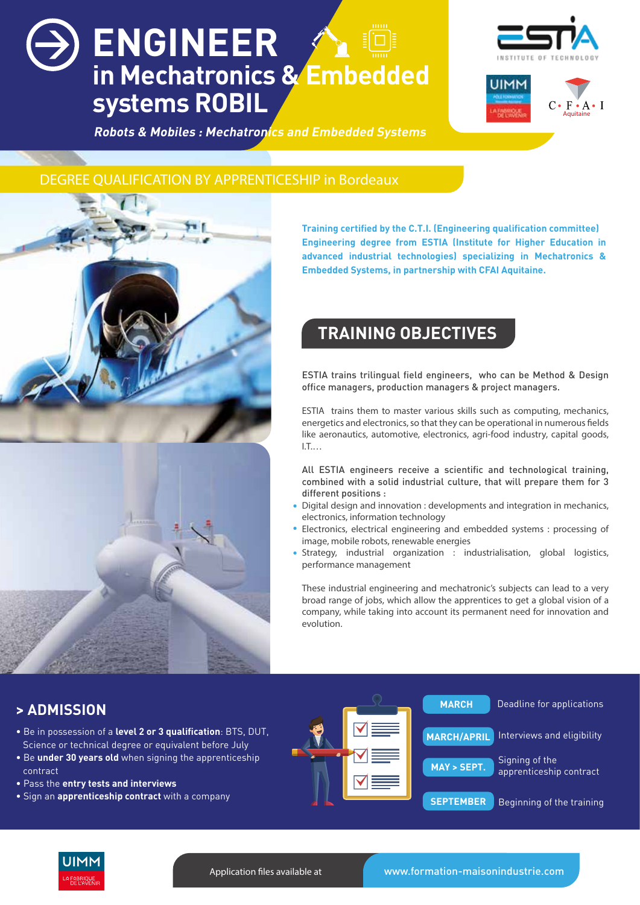# **ENGINEER in Mechatronics & Embedded systems ROBIL**





 **Robots & Mobiles : Mechatronics and Embedded Systems**

### DEGREE QUALIFICATION BY APPRENTICESHIP in Bordeaux



**Training certified by the C.T.I. (Engineering qualification committee) Engineering degree from ESTIA (Institute for Higher Education in advanced industrial technologies) specializing in Mechatronics & Embedded Systems, in partnership with CFAI Aquitaine.**

### **TRAINING OBJECTIVES**

ESTIA trains trilingual field engineers, who can be Method & Design office managers, production managers & project managers.

ESTIA trains them to master various skills such as computing, mechanics, energetics and electronics, so that they can be operational in numerous fields like aeronautics, automotive, electronics, agri-food industry, capital goods, I.T.…

All ESTIA engineers receive a scientific and technological training, combined with a solid industrial culture, that will prepare them for 3 different positions :

- Digital design and innovation : developments and integration in mechanics, electronics, information technology •
- Electronics, electrical engineering and embedded systems : processing of image, mobile robots, renewable energies •
- Strategy, industrial organization : industrialisation, global logistics, performance management •

These industrial engineering and mechatronic's subjects can lead to a very broad range of jobs, which allow the apprentices to get a global vision of a company, while taking into account its permanent need for innovation and evolution.

### **> ADMISSION**

- Be in possession of a **level 2 or 3 qualification**: BTS, DUT, Science or technical degree or equivalent before July
- Be **under 30 years old** when signing the apprenticeship contract
- Pass the **entry tests and interviews**
- Sign an **apprenticeship contract** with a company





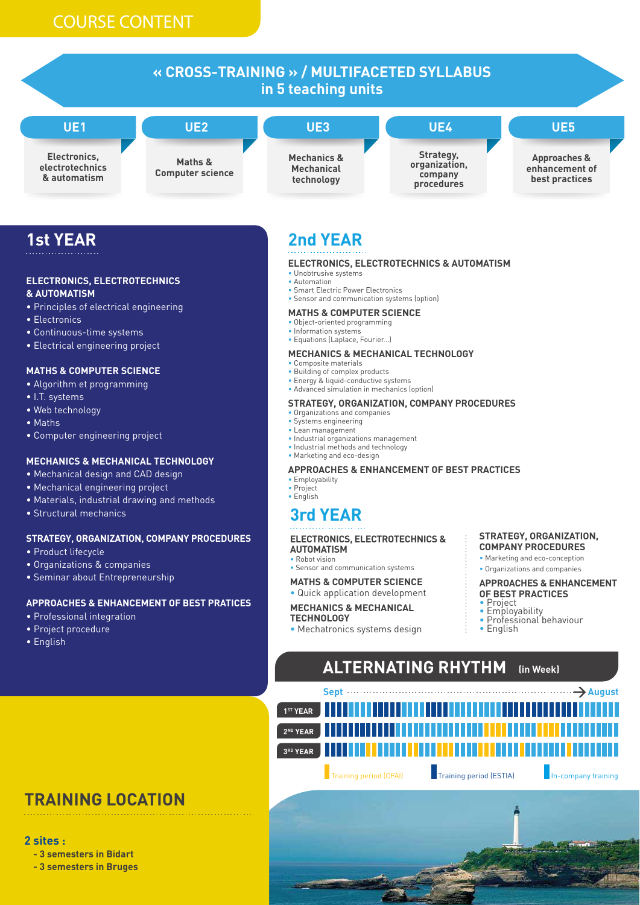

## **1st YEAR**

#### **ELECTRONICS, ELECTROTECHNICS & AUTOMATISM**

- Principles of electrical engineering
- Electronics
- Continuous-time systems
- Electrical engineering project

#### **MATHS & COMPUTER SCIENCE**

- Algorithm et programming
- I.T. systems
- Web technology
- Maths
- Computer engineering project

#### **MECHANICS & MECHANICAL TECHNOLOGY**

- Mechanical design and CAD design
- Mechanical engineering project
- Materials, industrial drawing and methods
- Structural mechanics

#### **STRATEGY, ORGANIZATION, COMPANY PROCEDURES**

- Product lifecycle
- Organizations & companies
- Seminar about Entrepreneurship

#### **APPROACHES & ENHANCEMENT OF BEST PRATICES**

- Professional integration
- Project procedure
- English

# **2nd YEAR**

#### **ELECTRONICS, ELECTROTECHNICS & AUTOMATISM**

- Unobtrusive systems
- Automation
- Smart Electric Power Electronics • Sensor and communication systems (option)

#### **MATHS & COMPUTER SCIENCE**

- Object-oriented programming
- Information systems
- Equations (Laplace, Fourier...)

#### **MECHANICS & MECHANICAL TECHNOLOGY**

- Composite materials • Building of complex products
- Energy & liquid-conductive systems
- Advanced simulation in mechanics (option)

#### **STRATEGY, ORGANIZATION, COMPANY PROCEDURES**

- Organizations and companies
- Systems engineering
- Lean management
- Industrial organizations management • Industrial methods and technology
- Marketing and eco-design

#### **APPROACHES & ENHANCEMENT OF BEST PRACTICES**

#### • Employability

• Project • English

## **3rd YEAR**

#### **ELECTRONICS, ELECTROTECHNICS &**

#### **AUTOMATISM**

• Robot vision

- Sensor and communication systems
- **MATHS & COMPUTER SCIENCE**
- Quick application development

#### **MECHANICS & MECHANICAL**

#### **TECHNOLOGY**

• Mechatronics systems design

**STRATEGY, ORGANIZATION, COMPANY PROCEDURES**

• Marketing and eco-conception • Organizations and companies

**APPROACHES & ENHANCEMENT OF BEST PRACTICES**

- Project
	- **Employability** • Professional behaviour
- English

# **ALTERNATING RHYTHM (in Week)**



Training period (CFAI) Training period (ESTIA) In-company training

# **TRAINING LOCATION**

#### **2 sites :**

 **- 3 semesters in Bidart**

 **- 3 semesters in Bruges** 

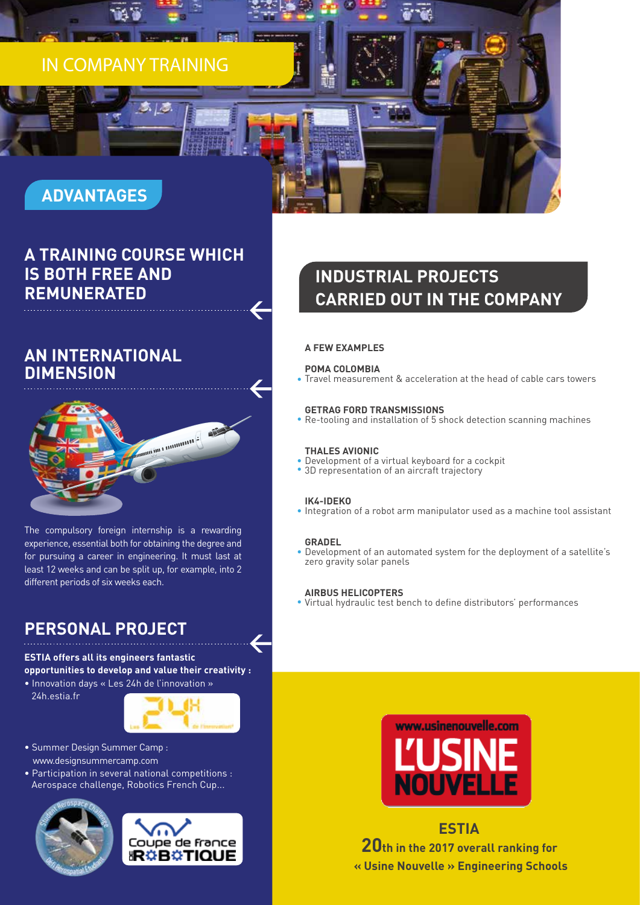# IN COMPANY TRAINING

# **ADVANTAGES**

### **A TRAINING COURSE WHICH IS BOTH FREE AND REMUNERATED**

### **AN INTERNATIONAL DIMENSION**



The compulsory foreign internship is a rewarding experience, essential both for obtaining the degree and for pursuing a career in engineering. It must last at least 12 weeks and can be split up, for example, into 2 different periods of six weeks each.

### **PERSONAL PROJECT**

### **ESTIA offers all its engineers fantastic opportunities to develop and value their creativity :**

• Innovation days « Les 24h de l'innovation » 24h.estia.fr



- Summer Design Summer Camp : www.designsummercamp.com
- Participation in several national competitions : Aerospace challenge, Robotics French Cup...





# **INDUSTRIAL PROJECTS CARRIED OUT IN THE COMPANY**

#### **A FEW EXAMPLES**

#### **POMA COLOMBIA**

Travel measurement & acceleration at the head of cable cars towers •

#### **GETRAG FORD TRANSMISSIONS**

Re-tooling and installation of 5 shock detection scanning machines •

#### **THALES AVIONIC**

- Development of a virtual keyboard for a cockpit •
- 3D representation of an aircraft trajectory

#### **IK4-IDEKO**

• Integration of a robot arm manipulator used as a machine tool assistant

#### **GRADEL**

Development of an automated system for the deployment of a satellite's • zero gravity solar panels

#### **AIRBUS HELICOPTERS**

Virtual hydraulic test bench to define distributors' performances •



**ESTIA 20th in the 2017 overall ranking for « Usine Nouvelle » Engineering Schools**